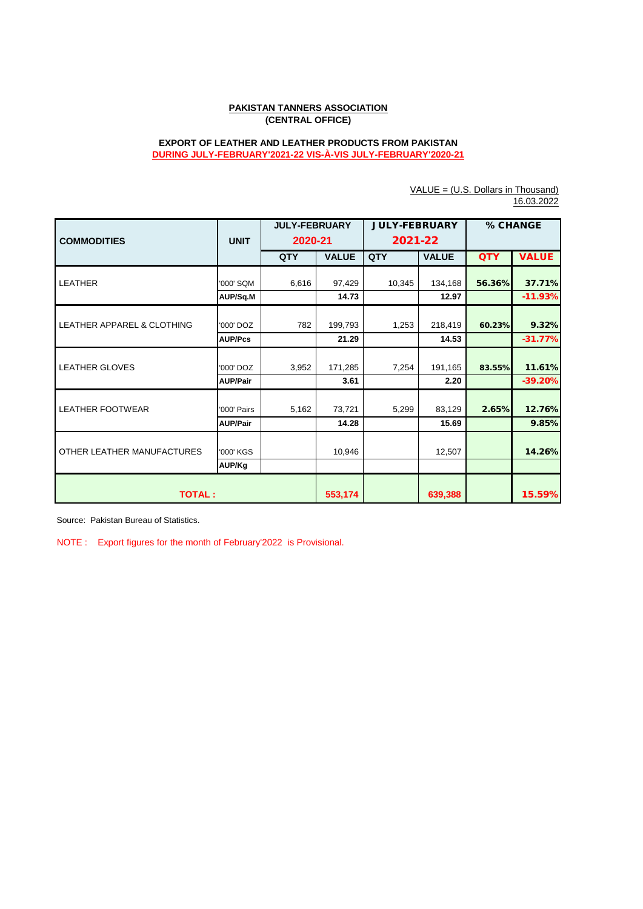## **PAKISTAN TANNERS ASSOCIATION (CENTRAL OFFICE)**

## **EXPORT OF LEATHER AND LEATHER PRODUCTS FROM PAKISTAN DURING JULY-FEBRUARY'2021-22 VIS-À-VIS JULY-FEBRUARY'2020-21**

|                                       |                 | <b>JULY-FEBRUARY</b> |              | <b>JULY-FEBRUARY</b> |              | % CHANGE   |              |  |  |
|---------------------------------------|-----------------|----------------------|--------------|----------------------|--------------|------------|--------------|--|--|
|                                       |                 |                      |              |                      |              |            |              |  |  |
| <b>COMMODITIES</b>                    | <b>UNIT</b>     | 2020-21              |              | 2021-22              |              |            |              |  |  |
|                                       |                 | QTY                  | <b>VALUE</b> | QTY                  | <b>VALUE</b> | <b>QTY</b> | <b>VALUE</b> |  |  |
|                                       |                 |                      |              |                      |              |            |              |  |  |
| <b>LEATHER</b>                        | '000' SQM       | 6,616                | 97,429       | 10,345               | 134,168      | 56.36%     | 37.71%       |  |  |
|                                       | AUP/Sq.M        |                      | 14.73        |                      | 12.97        |            | $-11.93%$    |  |  |
|                                       |                 |                      |              |                      |              |            |              |  |  |
| <b>LEATHER APPAREL &amp; CLOTHING</b> | '000' DOZ       | 782                  | 199,793      | 1,253                | 218,419      | 60.23%     | 9.32%        |  |  |
|                                       | <b>AUP/Pcs</b>  |                      | 21.29        |                      | 14.53        |            | $-31.77%$    |  |  |
|                                       |                 |                      |              |                      |              |            |              |  |  |
| <b>LEATHER GLOVES</b>                 | '000' DOZ       | 3,952                | 171,285      | 7,254                | 191,165      | 83.55%     | 11.61%       |  |  |
|                                       | <b>AUP/Pair</b> |                      | 3.61         |                      | 2.20         |            | $-39.20%$    |  |  |
|                                       |                 |                      |              |                      |              |            |              |  |  |
| LEATHER FOOTWEAR                      | '000' Pairs     | 5,162                | 73,721       | 5,299                | 83,129       | 2.65%      | 12.76%       |  |  |
|                                       | <b>AUP/Pair</b> |                      | 14.28        |                      | 15.69        |            | 9.85%        |  |  |
|                                       |                 |                      |              |                      |              |            |              |  |  |
| OTHER LEATHER MANUFACTURES            | '000' KGS       |                      | 10,946       |                      | 12,507       |            | 14.26%       |  |  |
|                                       | AUP/Kg          |                      |              |                      |              |            |              |  |  |
|                                       |                 |                      |              |                      |              |            |              |  |  |
| <b>TOTAL:</b>                         |                 | 553,174              |              | 639,388              |              | 15.59%     |              |  |  |

VALUE = (U.S. Dollars in Thousand) 16.03.2022

Source: Pakistan Bureau of Statistics.

NOTE : Export figures for the month of February'2022 is Provisional.